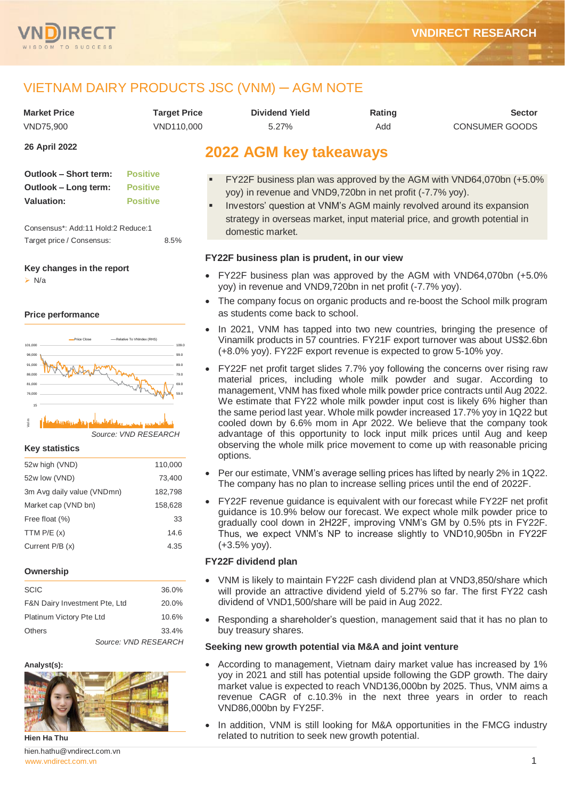

# VIETNAM DAIRY PRODUCTS JSC (VNM) ─ AGM NOTE

| <b>Market Price</b> | Tarqet Price | Dividend Yield | Rating | <b>Sector</b>         |
|---------------------|--------------|----------------|--------|-----------------------|
| VND75.900           | VND110.000   | 5.27%          | Add    | <b>CONSUMER GOODS</b> |

**26 April 2022**

| Outlook – Short term: | <b>Positive</b> |
|-----------------------|-----------------|
| Outlook – Long term:  | <b>Positive</b> |
| <b>Valuation:</b>     | <b>Positive</b> |

Consensus\*: Add:11 Hold:2 Reduce:1 Target price / Consensus: 8.5%

**Key changes in the report**

 $\triangleright$  N/a

## **Price performance**



*Source: VND RESEARCH* 04-21 06-21 08-21 10-21 12-21 02-22 Vol m

### **Key statistics**

| 52w high (VND)             | 110,000 |
|----------------------------|---------|
| 52w low (VND)              | 73,400  |
| 3m Avg daily value (VNDmn) | 182,798 |
| Market cap (VND bn)        | 158,628 |
| Free float (%)             | 33      |
| TTM $P/E(x)$               | 14.6    |
| Current P/B (x)            | 4.35    |
|                            |         |

### **Ownership**

| <b>SCIC</b>                   |                      | 36.0% |
|-------------------------------|----------------------|-------|
| F&N Dairy Investment Pte, Ltd |                      | 20.0% |
| Platinum Victory Pte Ltd      |                      | 10.6% |
| <b>Others</b>                 |                      | 33.4% |
|                               | Source: VND RESEARCH |       |

### **Analyst(s):**



**Hien Ha Thu**

[www.vndirect.com.vn](file:///C:/Users/Andre/Downloads/www.vndirect.com.vn) 1 hien.hathu@vndirect.com.vn

## **2022 AGM key takeaways**

- **FY22F business plan was approved by the AGM with VND64,070bn (+5.0%** yoy) in revenue and VND9,720bn in net profit (-7.7% yoy).
- Investors' question at VNM's AGM mainly revolved around its expansion strategy in overseas market, input material price, and growth potential in domestic market.

## **FY22F business plan is prudent, in our view**

- FY22F business plan was approved by the AGM with VND64,070bn (+5.0% yoy) in revenue and VND9,720bn in net profit (-7.7% yoy).
- The company focus on organic products and re-boost the School milk program as students come back to school.
- In 2021, VNM has tapped into two new countries, bringing the presence of Vinamilk products in 57 countries. FY21F export turnover was about US\$2.6bn (+8.0% yoy). FY22F export revenue is expected to grow 5-10% yoy.
- FY22F net profit target slides 7.7% yoy following the concerns over rising raw material prices, including whole milk powder and sugar. According to management, VNM has fixed whole milk powder price contracts until Aug 2022. We estimate that FY22 whole milk powder input cost is likely 6% higher than the same period last year. Whole milk powder increased 17.7% yoy in 1Q22 but cooled down by 6.6% mom in Apr 2022. We believe that the company took advantage of this opportunity to lock input milk prices until Aug and keep observing the whole milk price movement to come up with reasonable pricing options.
- Per our estimate, VNM's average selling prices has lifted by nearly 2% in 1Q22. The company has no plan to increase selling prices until the end of 2022F.
- FY22F revenue guidance is equivalent with our forecast while FY22F net profit guidance is 10.9% below our forecast. We expect whole milk powder price to gradually cool down in 2H22F, improving VNM's GM by 0.5% pts in FY22F. Thus, we expect VNM's NP to increase slightly to VND10,905bn in FY22F (+3.5% yoy).

## **FY22F dividend plan**

- VNM is likely to maintain FY22F cash dividend plan at VND3,850/share which will provide an attractive dividend yield of 5.27% so far. The first FY22 cash dividend of VND1,500/share will be paid in Aug 2022.
- Responding a shareholder's question, management said that it has no plan to buy treasury shares.

## **Seeking new growth potential via M&A and joint venture**

- According to management, Vietnam dairy market value has increased by 1% yoy in 2021 and still has potential upside following the GDP growth. The dairy market value is expected to reach VND136,000bn by 2025. Thus, VNM aims a revenue CAGR of c.10.3% in the next three years in order to reach VND86,000bn by FY25F.
- In addition, VNM is still looking for M&A opportunities in the FMCG industry related to nutrition to seek new growth potential.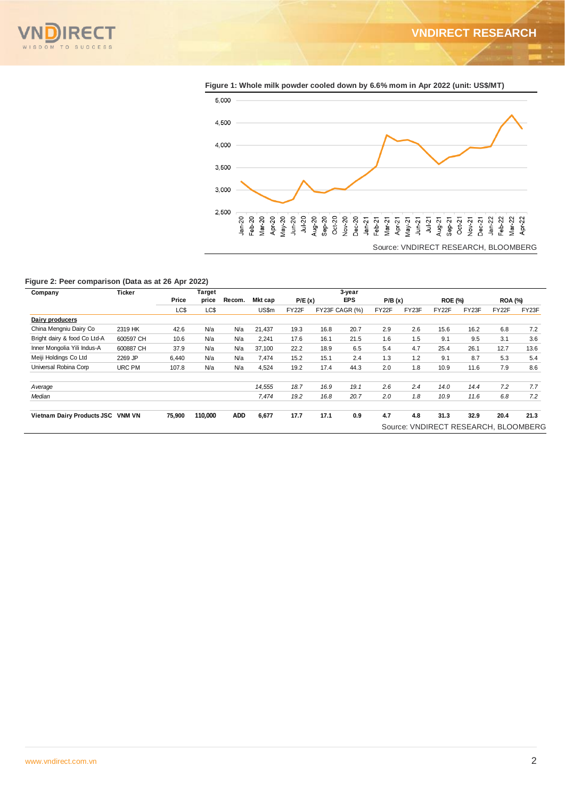



**Figure 1: Whole milk powder cooled down by 6.6% mom in Apr 2022 (unit: US\$/MT)**

### **Figure 2: Peer comparison (Data as at 26 Apr 2022)**

| Company                           | <b>Ticker</b> |        | Target  |            |         |        |      | 3-year         |        |       |                |       |                |                                      |
|-----------------------------------|---------------|--------|---------|------------|---------|--------|------|----------------|--------|-------|----------------|-------|----------------|--------------------------------------|
|                                   |               | Price  | price   | Recom.     | Mkt cap | P/E(x) |      | <b>EPS</b>     | P/B(x) |       | <b>ROE (%)</b> |       | <b>ROA (%)</b> |                                      |
|                                   |               | LC\$   | LC\$    |            | US\$m   | FY22F  |      | FY23F CAGR (%) | FY22F  | FY23F | FY22F          | FY23F | FY22F          | FY23F                                |
| Dairy producers                   |               |        |         |            |         |        |      |                |        |       |                |       |                |                                      |
| China Mengniu Dairy Co            | 2319 HK       | 42.6   | N/a     | N/a        | 21,437  | 19.3   | 16.8 | 20.7           | 2.9    | 2.6   | 15.6           | 16.2  | 6.8            | 7.2                                  |
| Bright dairy & food Co Ltd-A      | 600597 CH     | 10.6   | N/a     | N/a        | 2.241   | 17.6   | 16.1 | 21.5           | 1.6    | 1.5   | 9.1            | 9.5   | 3.1            | 3.6                                  |
| Inner Mongolia Yili Indus-A       | 600887 CH     | 37.9   | N/a     | N/a        | 37,100  | 22.2   | 18.9 | 6.5            | 5.4    | 4.7   | 25.4           | 26.1  | 12.7           | 13.6                                 |
| Meiji Holdings Co Ltd             | 2269 JP       | 6.440  | N/a     | N/a        | 7.474   | 15.2   | 15.1 | 2.4            | 1.3    | 1.2   | 9.1            | 8.7   | 5.3            | 5.4                                  |
| Universal Robina Corp             | URC PM        | 107.8  | N/a     | N/a        | 4,524   | 19.2   | 17.4 | 44.3           | 2.0    | 1.8   | 10.9           | 11.6  | 7.9            | 8.6                                  |
| Average                           |               |        |         |            | 14.555  | 18.7   | 16.9 | 19.1           | 2.6    | 2.4   | 14.0           | 14.4  | 7.2            | 7.7                                  |
| Median                            |               |        |         |            | 7,474   | 19.2   | 16.8 | 20.7           | 2.0    | 1.8   | 10.9           | 11.6  | 6.8            | 7.2                                  |
| Vietnam Dairy Products JSC VNM VN |               | 75,900 | 110,000 | <b>ADD</b> | 6,677   | 17.7   | 17.1 | 0.9            | 4.7    | 4.8   | 31.3           | 32.9  | 20.4           | 21.3                                 |
|                                   |               |        |         |            |         |        |      |                |        |       |                |       |                | Source: VNDIRECT RESEARCH, BLOOMBERG |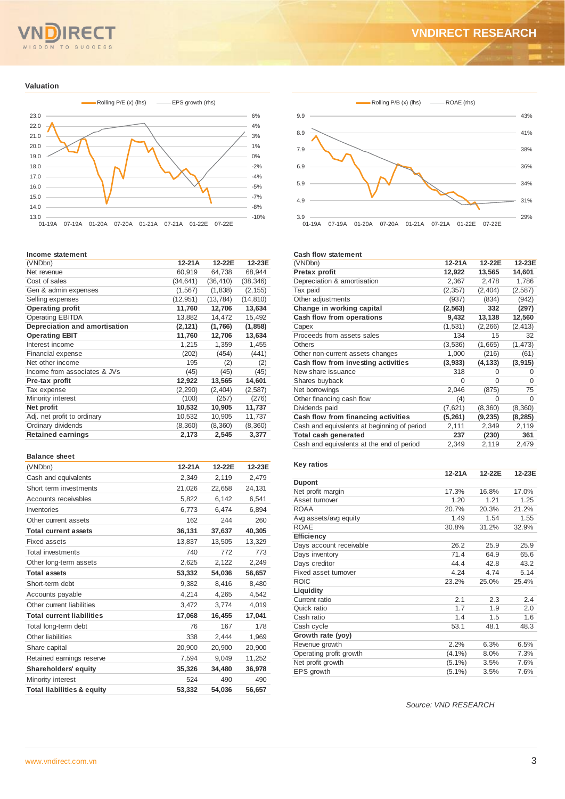## TO SUCCESS O M

### **Valuation**



### **Income statement**

| (VNDbn)                       | 12-21A    | 12-22E    | 12-23E    |
|-------------------------------|-----------|-----------|-----------|
| Net revenue                   | 60,919    | 64,738    | 68,944    |
| Cost of sales                 | (34, 641) | (36, 410) | (38, 346) |
| Gen & admin expenses          | (1, 567)  | (1,838)   | (2, 155)  |
| Selling expenses              | (12, 951) | (13, 784) | (14, 810) |
| <b>Operating profit</b>       | 11,760    | 12,706    | 13,634    |
| <b>Operating EBITDA</b>       | 13,882    | 14,472    | 15,492    |
| Depreciation and amortisation | (2,121)   | (1,766)   | (1, 858)  |
| <b>Operating EBIT</b>         | 11,760    | 12,706    | 13,634    |
| Interest income               | 1,215     | 1,359     | 1,455     |
| <b>Financial expense</b>      | (202)     | (454)     | (441)     |
| Net other income              | 195       | (2)       | (2)       |
| Income from associates & JVs  | (45)      | (45)      | (45)      |
| Pre-tax profit                | 12,922    | 13,565    | 14,601    |
| Tax expense                   | (2, 290)  | (2, 404)  | (2,587)   |
| Minority interest             | (100)     | (257)     | (276)     |
| Net profit                    | 10,532    | 10,905    | 11,737    |
| Adj. net profit to ordinary   | 10,532    | 10,905    | 11,737    |
| Ordinary dividends            | (8,360)   | (8,360)   | (8,360)   |
| <b>Retained earnings</b>      | 2,173     | 2,545     | 3,377     |
|                               |           |           |           |

#### **Balance sheet**

| (VNDbn)                               | $12-21A$ | 12-22E | 12-23E |
|---------------------------------------|----------|--------|--------|
| Cash and equivalents                  | 2,349    | 2,119  | 2,479  |
| Short term investments                | 21,026   | 22,658 | 24,131 |
| Accounts receivables                  | 5,822    | 6.142  | 6.541  |
| Inventories                           | 6,773    | 6,474  | 6,894  |
| Other current assets                  | 162      | 244    | 260    |
| <b>Total current assets</b>           | 36,131   | 37,637 | 40,305 |
| Fixed assets                          | 13,837   | 13,505 | 13,329 |
| <b>Total investments</b>              | 740      | 772    | 773    |
| Other long-term assets                | 2,625    | 2.122  | 2.249  |
| <b>Total assets</b>                   | 53,332   | 54,036 | 56,657 |
| Short-term debt                       | 9,382    | 8,416  | 8,480  |
| Accounts payable                      | 4,214    | 4,265  | 4,542  |
| Other current liabilities             | 3,472    | 3.774  | 4,019  |
| <b>Total current liabilities</b>      | 17,068   | 16,455 | 17,041 |
| Total long-term debt                  | 76       | 167    | 178    |
| Other liabilities                     | 338      | 2,444  | 1,969  |
| Share capital                         | 20,900   | 20,900 | 20,900 |
| Retained earnings reserve             | 7,594    | 9,049  | 11,252 |
| <b>Shareholders' equity</b>           | 35,326   | 34,480 | 36,978 |
| Minority interest                     | 524      | 490    | 490    |
| <b>Total liabilities &amp; equity</b> | 53.332   | 54.036 | 56,657 |



### **Cash flow statement**

| (VNDbn)                                     | 12-21A   | 12-22E   | 12-23E   |
|---------------------------------------------|----------|----------|----------|
| Pretax profit                               | 12,922   | 13,565   | 14.601   |
| Depreciation & amortisation                 | 2,367    | 2,478    | 1,786    |
| Tax paid                                    | (2, 357) | (2,404)  | (2,587)  |
| Other adjustments                           | (937)    | (834)    | (942)    |
| Change in working capital                   | (2, 563) | 332      | (297)    |
| Cash flow from operations                   | 9,432    | 13,138   | 12,560   |
| Capex                                       | (1,531)  | (2, 266) | (2, 413) |
| Proceeds from assets sales                  | 134      | 15       | 32       |
| <b>Others</b>                               | (3,536)  | (1,665)  | (1, 473) |
| Other non-current assets changes            | 1,000    | (216)    | (61)     |
| Cash flow from investing activities         | (3,933)  | (4, 133) | (3, 915) |
| New share issuance                          | 318      | $\Omega$ | $\Omega$ |
| Shares buyback                              | 0        | 0        | 0        |
| Net borrowings                              | 2,046    | (875)    | 75       |
| Other financing cash flow                   | (4)      | 0        | $\Omega$ |
| Dividends paid                              | (7,621)  | (8,360)  | (8,360)  |
| Cash flow from financing activities         | (5,261)  | (9, 235) | (8, 285) |
| Cash and equivalents at beginning of period | 2,111    | 2,349    | 2,119    |
| Total cash generated                        | 237      | (230)    | 361      |
| Cash and equivalents at the end of period   | 2,349    | 2,119    | 2,479    |
|                                             |          |          |          |

#### **Key ratios**

|                         | $12-21A$  | 12-22E | 12-23E |
|-------------------------|-----------|--------|--------|
| <b>Dupont</b>           |           |        |        |
| Net profit margin       | 17.3%     | 16.8%  | 17.0%  |
| Asset turnover          | 1.20      | 1.21   | 1.25   |
| <b>ROAA</b>             | 20.7%     | 20.3%  | 21.2%  |
| Avg assets/avg equity   | 1.49      | 1.54   | 1.55   |
| <b>ROAE</b>             | 30.8%     | 31.2%  | 32.9%  |
| <b>Efficiency</b>       |           |        |        |
| Days account receivable | 26.2      | 25.9   | 25.9   |
| Days inventory          | 71.4      | 64.9   | 65.6   |
| Days creditor           | 44.4      | 42.8   | 43.2   |
| Fixed asset turnover    | 4.24      | 4.74   | 5.14   |
| <b>ROIC</b>             | 23.2%     | 25.0%  | 25.4%  |
| Liquidity               |           |        |        |
| Current ratio           | 2.1       | 2.3    | 2.4    |
| Quick ratio             | 1.7       | 1.9    | 2.0    |
| Cash ratio              | 1.4       | 1.5    | 1.6    |
| Cash cycle              | 53.1      | 48.1   | 48.3   |
| Growth rate (yoy)       |           |        |        |
| Revenue growth          | 2.2%      | 6.3%   | 6.5%   |
| Operating profit growth | $(4.1\%)$ | 8.0%   | 7.3%   |
| Net profit growth       | $(5.1\%)$ | 3.5%   | 7.6%   |
| EPS growth              | $(5.1\%)$ | 3.5%   | 7.6%   |

*Source: VND RESEARCH*